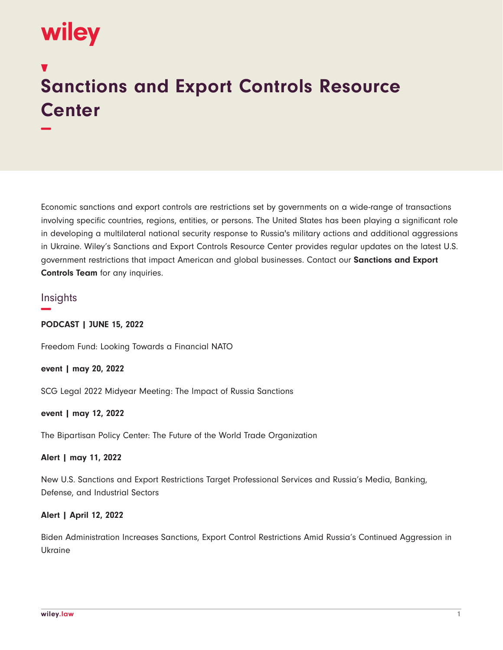# wiley

**−**

# **Sanctions and Export Controls Resource Center**

Economic sanctions and export controls are restrictions set by governments on a wide-range of transactions involving specific countries, regions, entities, or persons. The United States has been playing a significant role in developing a multilateral national security response to Russia's military actions and additional aggressions in Ukraine. Wiley's Sanctions and Export Controls Resource Center provides regular updates on the latest U.S. government restrictions that impact American and global businesses. Contact our **Sanctions and Export Controls Team** for any inquiries.

# **Insights −**

**PODCAST | JUNE 15, 2022**

Freedom Fund: Looking Towards a Financial NATO

**event | may 20, 2022**

SCG Legal 2022 Midyear Meeting: The Impact of Russia Sanctions

# **event | may 12, 2022**

The Bipartisan Policy Center: The Future of the World Trade Organization

#### **Alert | may 11, 2022**

New U.S. Sanctions and Export Restrictions Target Professional Services and Russia's Media, Banking, Defense, and Industrial Sectors

# **Alert | April 12, 2022**

Biden Administration Increases Sanctions, Export Control Restrictions Amid Russia's Continued Aggression in Ukraine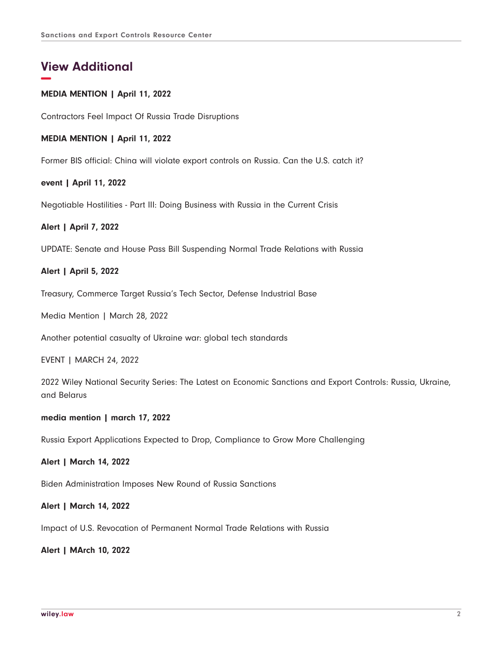# **View Additional −**

### **MEDIA MENTION | April 11, 2022**

Contractors Feel Impact Of Russia Trade Disruptions

#### **MEDIA MENTION | April 11, 2022**

Former BIS official: China will violate export controls on Russia. Can the U.S. catch it?

#### **event | April 11, 2022**

Negotiable Hostilities - Part III: Doing Business with Russia in the Current Crisis

#### **Alert | April 7, 2022**

UPDATE: Senate and House Pass Bill Suspending Normal Trade Relations with Russia

#### **Alert | April 5, 2022**

Treasury, Commerce Target Russia's Tech Sector, Defense Industrial Base

Media Mention | March 28, 2022

Another potential casualty of Ukraine war: global tech standards

EVENT | MARCH 24, 2022

2022 Wiley National Security Series: The Latest on Economic Sanctions and Export Controls: Russia, Ukraine, and Belarus

#### **media mention | march 17, 2022**

Russia Export Applications Expected to Drop, Compliance to Grow More Challenging

**Alert | March 14, 2022**

Biden Administration Imposes New Round of Russia Sanctions

**Alert | March 14, 2022**

Impact of U.S. Revocation of Permanent Normal Trade Relations with Russia

**Alert | MArch 10, 2022**